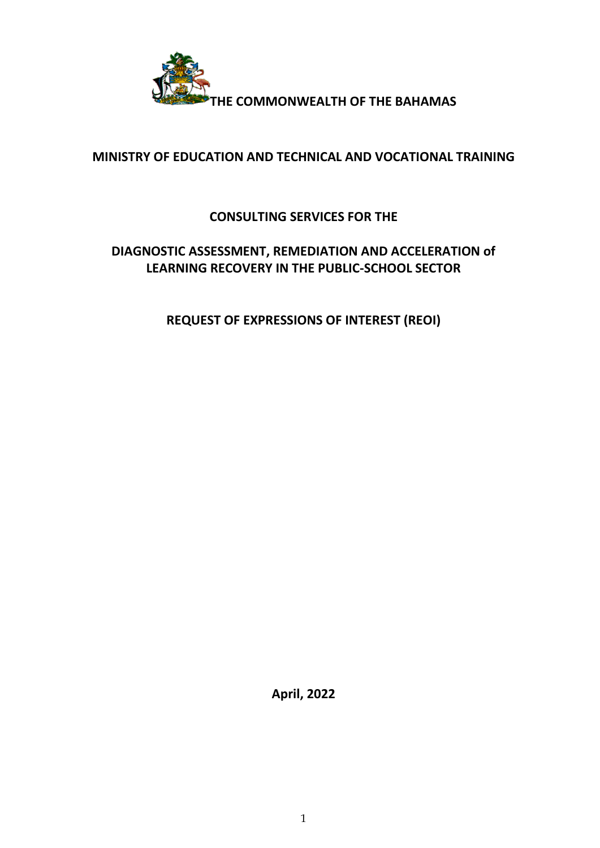

# **MINISTRY OF EDUCATION AND TECHNICAL AND VOCATIONAL TRAINING**

# **CONSULTING SERVICES FOR THE**

# **DIAGNOSTIC ASSESSMENT, REMEDIATION AND ACCELERATION of LEARNING RECOVERY IN THE PUBLIC-SCHOOL SECTOR**

**REQUEST OF EXPRESSIONS OF INTEREST (REOI)**

**April, 2022**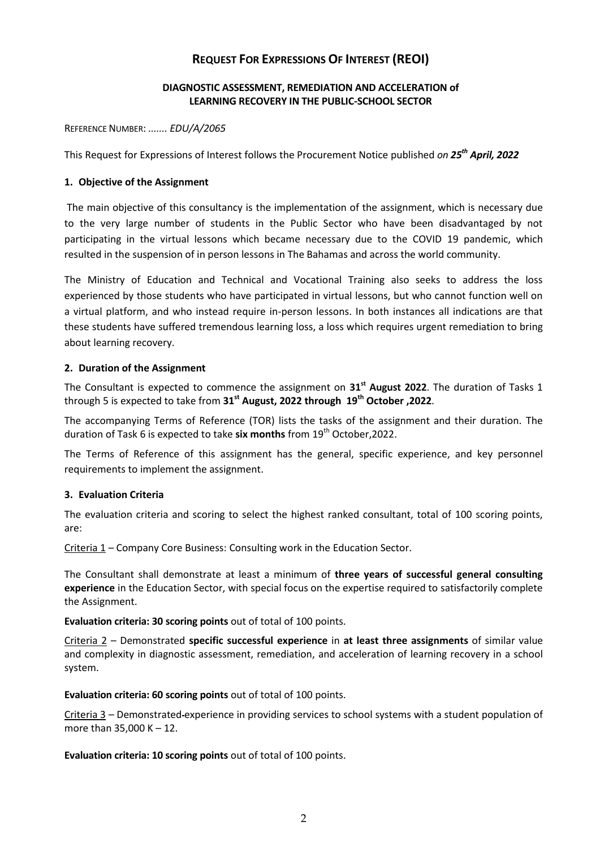# **REQUEST FOR EXPRESSIONS OF INTEREST (REOI)**

## **DIAGNOSTIC ASSESSMENT, REMEDIATION AND ACCELERATION of LEARNING RECOVERY IN THE PUBLIC-SCHOOL SECTOR**

REFERENCE NUMBER: *....... EDU/A/2065*

This Request for Expressions of Interest follows the Procurement Notice published *on 25th April, 2022*

#### **1. Objective of the Assignment**

The main objective of this consultancy is the implementation of the assignment, which is necessary due to the very large number of students in the Public Sector who have been disadvantaged by not participating in the virtual lessons which became necessary due to the COVID 19 pandemic, which resulted in the suspension of in person lessons in The Bahamas and across the world community.

The Ministry of Education and Technical and Vocational Training also seeks to address the loss experienced by those students who have participated in virtual lessons, but who cannot function well on a virtual platform, and who instead require in-person lessons. In both instances all indications are that these students have suffered tremendous learning loss, a loss which requires urgent remediation to bring about learning recovery.

## **2. Duration of the Assignment**

The Consultant is expected to commence the assignment on **31st August 2022**. The duration of Tasks 1 through 5 is expected to take from **31st August, 2022 through 19th October ,2022**.

The accompanying Terms of Reference (TOR) lists the tasks of the assignment and their duration. The duration of Task 6 is expected to take six months from 19<sup>th</sup> October, 2022.

The Terms of Reference of this assignment has the general, specific experience, and key personnel requirements to implement the assignment.

#### **3. Evaluation Criteria**

The evaluation criteria and scoring to select the highest ranked consultant, total of 100 scoring points, are:

Criteria 1 – Company Core Business: Consulting work in the Education Sector.

The Consultant shall demonstrate at least a minimum of **three years of successful general consulting experience** in the Education Sector, with special focus on the expertise required to satisfactorily complete the Assignment.

**Evaluation criteria: 30 scoring points** out of total of 100 points.

Criteria 2 – Demonstrated **specific successful experience** in **at least three assignments** of similar value and complexity in diagnostic assessment, remediation, and acceleration of learning recovery in a school system.

**Evaluation criteria: 60 scoring points** out of total of 100 points.

Criteria 3 – Demonstrated experience in providing services to school systems with a student population of more than 35,000 K – 12.

**Evaluation criteria: 10 scoring points** out of total of 100 points.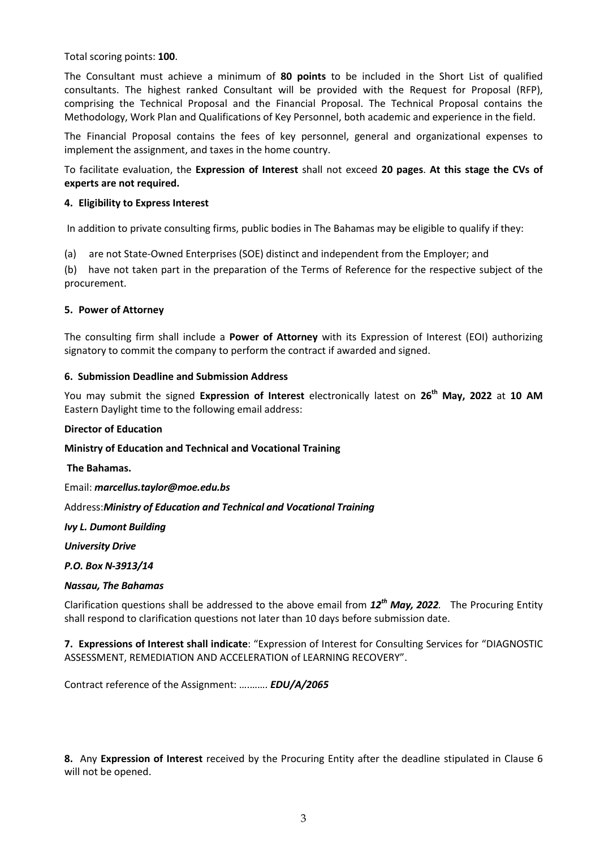Total scoring points: **100**.

The Consultant must achieve a minimum of **80 points** to be included in the Short List of qualified consultants. The highest ranked Consultant will be provided with the Request for Proposal (RFP), comprising the Technical Proposal and the Financial Proposal. The Technical Proposal contains the Methodology, Work Plan and Qualifications of Key Personnel, both academic and experience in the field.

The Financial Proposal contains the fees of key personnel, general and organizational expenses to implement the assignment, and taxes in the home country.

To facilitate evaluation, the **Expression of Interest** shall not exceed **20 pages**. **At this stage the CVs of experts are not required.** 

#### **4. Eligibility to Express Interest**

In addition to private consulting firms, public bodies in The Bahamas may be eligible to qualify if they:

(a) are not State-Owned Enterprises (SOE) distinct and independent from the Employer; and

(b) have not taken part in the preparation of the Terms of Reference for the respective subject of the procurement.

## **5. Power of Attorney**

The consulting firm shall include a **Power of Attorney** with its Expression of Interest (EOI) authorizing signatory to commit the company to perform the contract if awarded and signed.

## **6. Submission Deadline and Submission Address**

You may submit the signed **Expression of Interest** electronically latest on **26th May, 2022** at **10 AM** Eastern Daylight time to the following email address:

#### **Director of Education**

**Ministry of Education and Technical and Vocational Training**

**The Bahamas.**

Email: *marcellus.taylor@moe.edu.bs*

Address:*Ministry of Education and Technical and Vocational Training*

*Ivy L. Dumont Building*

*University Drive*

*P.O. Box N-3913/14*

#### *Nassau, The Bahamas*

Clarification questions shall be addressed to the above email from *12th May, 2022.* The Procuring Entity shall respond to clarification questions not later than 10 days before submission date.

**7. Expressions of Interest shall indicate**: "Expression of Interest for Consulting Services for "DIAGNOSTIC ASSESSMENT, REMEDIATION AND ACCELERATION of LEARNING RECOVERY".

Contract reference of the Assignment: ….……. *EDU/A/2065*

**8.** Any **Expression of Interest** received by the Procuring Entity after the deadline stipulated in Clause 6 will not be opened.